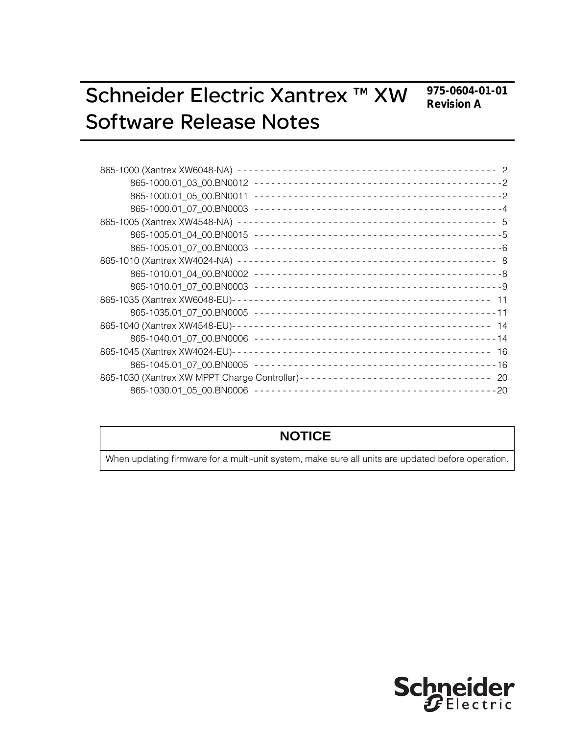**975-0604-01-01 Revision A**

# Schneider Electric Xantrex ™ XW Software Release Notes

| 865-1030 (Xantrex XW MPPT Charge Controller)---------------------------------- 20 |  |
|-----------------------------------------------------------------------------------|--|
|                                                                                   |  |
|                                                                                   |  |

### **NOTICE**

When updating firmware for a multi-unit system, make sure all units are updated before operation.

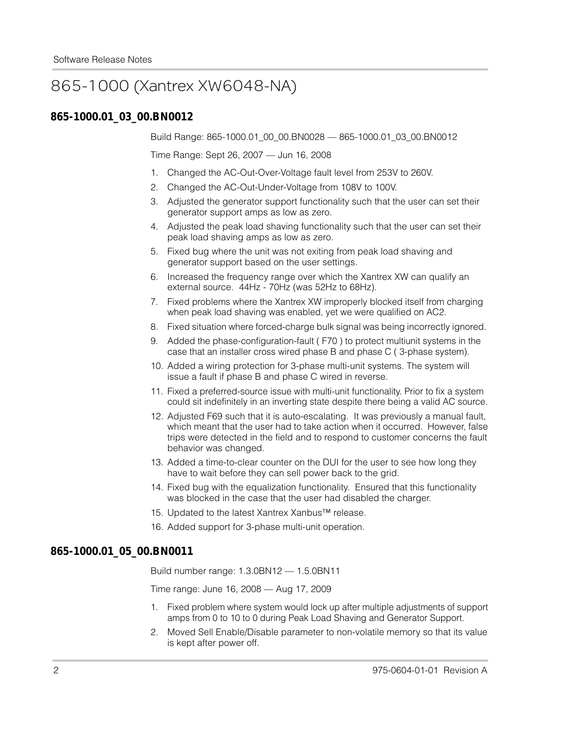### 865-1000 (Xantrex XW6048-NA)

#### **865-1000.01\_03\_00.BN0012**

Build Range: 865-1000.01\_00\_00.BN0028 — 865-1000.01\_03\_00.BN0012

Time Range: Sept 26, 2007 — Jun 16, 2008

- 1. Changed the AC-Out-Over-Voltage fault level from 253V to 260V.
- 2. Changed the AC-Out-Under-Voltage from 108V to 100V.
- 3. Adjusted the generator support functionality such that the user can set their generator support amps as low as zero.
- 4. Adjusted the peak load shaving functionality such that the user can set their peak load shaving amps as low as zero.
- 5. Fixed bug where the unit was not exiting from peak load shaving and generator support based on the user settings.
- 6. Increased the frequency range over which the Xantrex XW can qualify an external source. 44Hz - 70Hz (was 52Hz to 68Hz).
- 7. Fixed problems where the Xantrex XW improperly blocked itself from charging when peak load shaving was enabled, yet we were qualified on AC2.
- 8. Fixed situation where forced-charge bulk signal was being incorrectly ignored.
- 9. Added the phase-configuration-fault ( F70 ) to protect multiunit systems in the case that an installer cross wired phase B and phase C ( 3-phase system).
- 10. Added a wiring protection for 3-phase multi-unit systems. The system will issue a fault if phase B and phase C wired in reverse.
- 11. Fixed a preferred-source issue with multi-unit functionality. Prior to fix a system could sit indefinitely in an inverting state despite there being a valid AC source.
- 12. Adjusted F69 such that it is auto-escalating. It was previously a manual fault, which meant that the user had to take action when it occurred. However, false trips were detected in the field and to respond to customer concerns the fault behavior was changed.
- 13. Added a time-to-clear counter on the DUI for the user to see how long they have to wait before they can sell power back to the grid.
- 14. Fixed bug with the equalization functionality. Ensured that this functionality was blocked in the case that the user had disabled the charger.
- 15. Updated to the latest Xantrex Xanbus™ release.
- 16. Added support for 3-phase multi-unit operation.

#### **865-1000.01\_05\_00.BN0011**

Build number range: 1.3.0BN12 — 1.5.0BN11

Time range: June 16, 2008 — Aug 17, 2009

- 1. Fixed problem where system would lock up after multiple adjustments of support amps from 0 to 10 to 0 during Peak Load Shaving and Generator Support.
- 2. Moved Sell Enable/Disable parameter to non-volatile memory so that its value is kept after power off.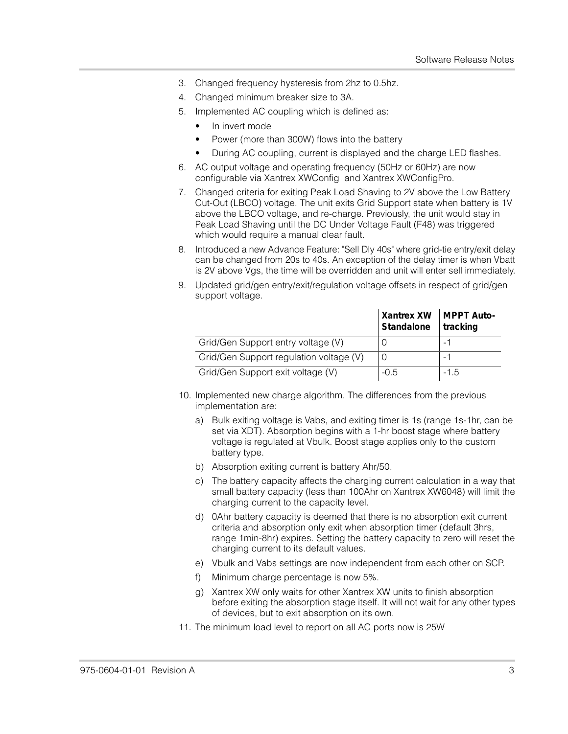- 3. Changed frequency hysteresis from 2hz to 0.5hz.
- 4. Changed minimum breaker size to 3A.
- 5. Implemented AC coupling which is defined as:
	- In invert mode
	- Power (more than 300W) flows into the battery
	- During AC coupling, current is displayed and the charge LED flashes.
- 6. AC output voltage and operating frequency (50Hz or 60Hz) are now configurable via Xantrex XWConfig and Xantrex XWConfigPro.
- 7. Changed criteria for exiting Peak Load Shaving to 2V above the Low Battery Cut-Out (LBCO) voltage. The unit exits Grid Support state when battery is 1V above the LBCO voltage, and re-charge. Previously, the unit would stay in Peak Load Shaving until the DC Under Voltage Fault (F48) was triggered which would require a manual clear fault.
- 8. Introduced a new Advance Feature: "Sell Dly 40s" where grid-tie entry/exit delay can be changed from 20s to 40s. An exception of the delay timer is when Vbatt is 2V above Vgs, the time will be overridden and unit will enter sell immediately.
- 9. Updated grid/gen entry/exit/regulation voltage offsets in respect of grid/gen support voltage.

|                                         | Xantrex XW   MPPT Auto-<br>Standalone | tracking |
|-----------------------------------------|---------------------------------------|----------|
| Grid/Gen Support entry voltage (V)      |                                       |          |
| Grid/Gen Support regulation voltage (V) |                                       |          |
| Grid/Gen Support exit voltage (V)       | $-0.5$                                | $-1.5$   |

- 10. Implemented new charge algorithm. The differences from the previous implementation are:
	- a) Bulk exiting voltage is Vabs, and exiting timer is 1s (range 1s-1hr, can be set via XDT). Absorption begins with a 1-hr boost stage where battery voltage is regulated at Vbulk. Boost stage applies only to the custom battery type.
	- b) Absorption exiting current is battery Ahr/50.
	- c) The battery capacity affects the charging current calculation in a way that small battery capacity (less than 100Ahr on Xantrex XW6048) will limit the charging current to the capacity level.
	- d) 0Ahr battery capacity is deemed that there is no absorption exit current criteria and absorption only exit when absorption timer (default 3hrs, range 1min-8hr) expires. Setting the battery capacity to zero will reset the charging current to its default values.
	- e) Vbulk and Vabs settings are now independent from each other on SCP.
	- f) Minimum charge percentage is now 5%.
	- g) Xantrex XW only waits for other Xantrex XW units to finish absorption before exiting the absorption stage itself. It will not wait for any other types of devices, but to exit absorption on its own.
- 11. The minimum load level to report on all AC ports now is 25W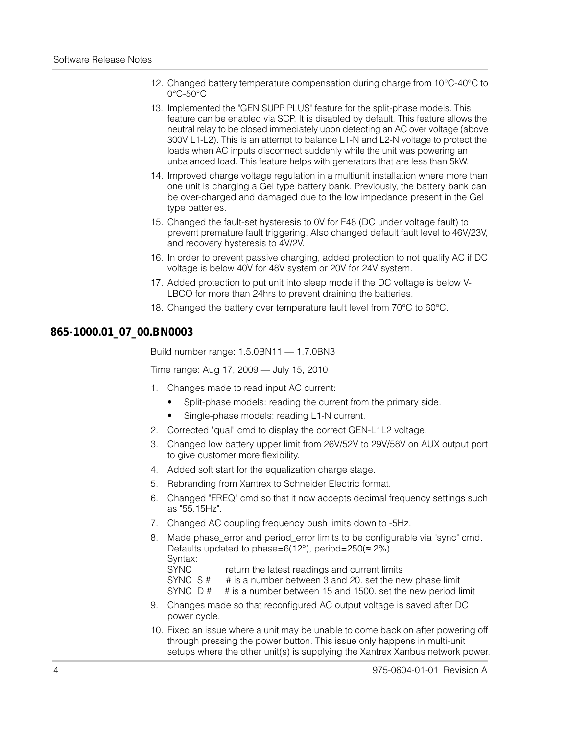- 12. Changed battery temperature compensation during charge from 10°C-40°C to 0°C-50°C
- 13. Implemented the "GEN SUPP PLUS" feature for the split-phase models. This feature can be enabled via SCP. It is disabled by default. This feature allows the neutral relay to be closed immediately upon detecting an AC over voltage (above 300V L1-L2). This is an attempt to balance L1-N and L2-N voltage to protect the loads when AC inputs disconnect suddenly while the unit was powering an unbalanced load. This feature helps with generators that are less than 5kW.
- 14. Improved charge voltage regulation in a multiunit installation where more than one unit is charging a Gel type battery bank. Previously, the battery bank can be over-charged and damaged due to the low impedance present in the Gel type batteries.
- 15. Changed the fault-set hysteresis to 0V for F48 (DC under voltage fault) to prevent premature fault triggering. Also changed default fault level to 46V/23V, and recovery hysteresis to 4V/2V.
- 16. In order to prevent passive charging, added protection to not qualify AC if DC voltage is below 40V for 48V system or 20V for 24V system.
- 17. Added protection to put unit into sleep mode if the DC voltage is below V-LBCO for more than 24hrs to prevent draining the batteries.
- 18. Changed the battery over temperature fault level from 70°C to 60°C.

### **865-1000.01\_07\_00.BN0003**

Build number range: 1.5.0BN11 — 1.7.0BN3

Time range: Aug 17, 2009 — July 15, 2010

- 1. Changes made to read input AC current:
	- Split-phase models: reading the current from the primary side.
	- Single-phase models: reading L1-N current.
- 2. Corrected "qual" cmd to display the correct GEN-L1L2 voltage.
- 3. Changed low battery upper limit from 26V/52V to 29V/58V on AUX output port to give customer more flexibility.
- 4. Added soft start for the equalization charge stage.
- 5. Rebranding from Xantrex to Schneider Electric format.
- 6. Changed "FREQ" cmd so that it now accepts decimal frequency settings such as "55.15Hz".
- 7. Changed AC coupling frequency push limits down to -5Hz.
- 8. Made phase error and period error limits to be configurable via "sync" cmd. Defaults updated to phase=6(12 $^{\circ}$ ), period=250( $\approx$  2%). Syntax:
	-
	- SYNC return the latest readings and current limits<br>SYNC S # # is a number between 3 and 20, set the ne
	- # is a number between 3 and 20. set the new phase limit
	- SYNC D # # is a number between 15 and 1500. set the new period limit
- 9. Changes made so that reconfigured AC output voltage is saved after DC power cycle.
- 10. Fixed an issue where a unit may be unable to come back on after powering off through pressing the power button. This issue only happens in multi-unit setups where the other unit(s) is supplying the Xantrex Xanbus network power.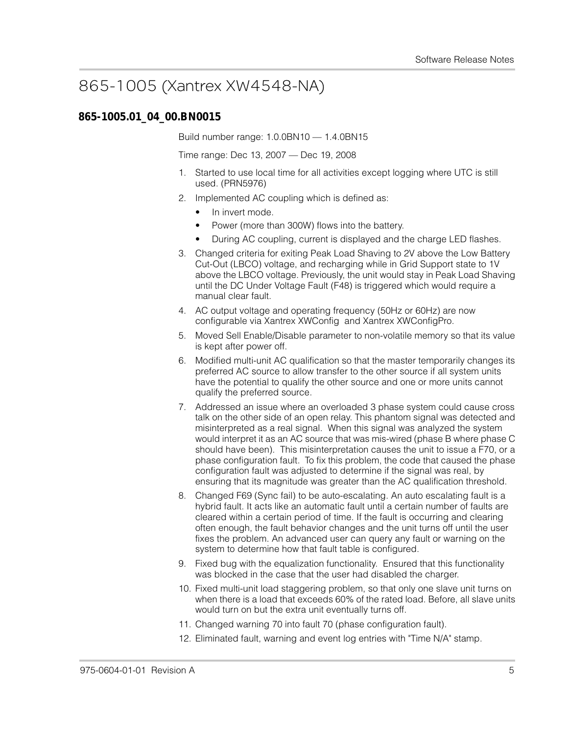# 865-1005 (Xantrex XW4548-NA)

### **865-1005.01\_04\_00.BN0015**

Build number range: 1.0.0BN10 — 1.4.0BN15

Time range: Dec 13, 2007 — Dec 19, 2008

- 1. Started to use local time for all activities except logging where UTC is still used. (PRN5976)
- 2. Implemented AC coupling which is defined as:
	- In invert mode.
	- Power (more than 300W) flows into the battery.
	- During AC coupling, current is displayed and the charge LED flashes.
- 3. Changed criteria for exiting Peak Load Shaving to 2V above the Low Battery Cut-Out (LBCO) voltage, and recharging while in Grid Support state to 1V above the LBCO voltage. Previously, the unit would stay in Peak Load Shaving until the DC Under Voltage Fault (F48) is triggered which would require a manual clear fault.
- 4. AC output voltage and operating frequency (50Hz or 60Hz) are now configurable via Xantrex XWConfig and Xantrex XWConfigPro.
- 5. Moved Sell Enable/Disable parameter to non-volatile memory so that its value is kept after power off.
- 6. Modified multi-unit AC qualification so that the master temporarily changes its preferred AC source to allow transfer to the other source if all system units have the potential to qualify the other source and one or more units cannot qualify the preferred source.
- 7. Addressed an issue where an overloaded 3 phase system could cause cross talk on the other side of an open relay. This phantom signal was detected and misinterpreted as a real signal. When this signal was analyzed the system would interpret it as an AC source that was mis-wired (phase B where phase C should have been). This misinterpretation causes the unit to issue a F70, or a phase configuration fault. To fix this problem, the code that caused the phase configuration fault was adjusted to determine if the signal was real, by ensuring that its magnitude was greater than the AC qualification threshold.
- 8. Changed F69 (Sync fail) to be auto-escalating. An auto escalating fault is a hybrid fault. It acts like an automatic fault until a certain number of faults are cleared within a certain period of time. If the fault is occurring and clearing often enough, the fault behavior changes and the unit turns off until the user fixes the problem. An advanced user can query any fault or warning on the system to determine how that fault table is configured.
- 9. Fixed bug with the equalization functionality. Ensured that this functionality was blocked in the case that the user had disabled the charger.
- 10. Fixed multi-unit load staggering problem, so that only one slave unit turns on when there is a load that exceeds 60% of the rated load. Before, all slave units would turn on but the extra unit eventually turns off.
- 11. Changed warning 70 into fault 70 (phase configuration fault).
- 12. Eliminated fault, warning and event log entries with "Time N/A" stamp.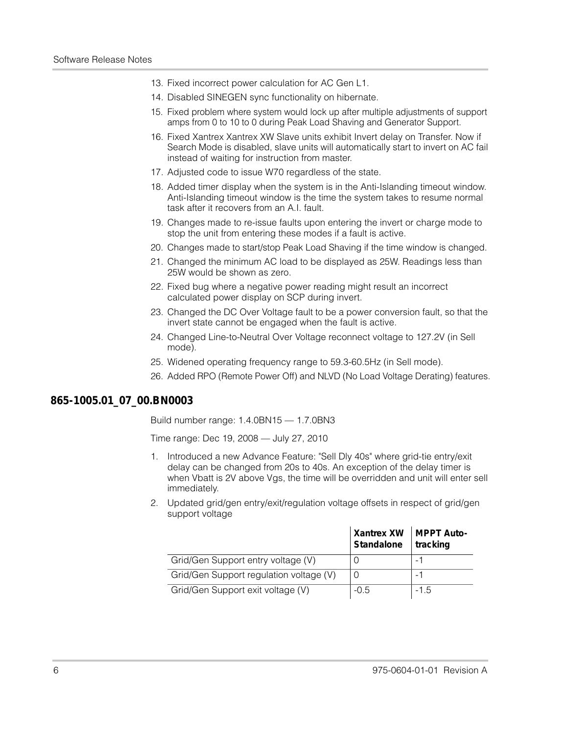- 13. Fixed incorrect power calculation for AC Gen L1.
- 14. Disabled SINEGEN sync functionality on hibernate.
- 15. Fixed problem where system would lock up after multiple adjustments of support amps from 0 to 10 to 0 during Peak Load Shaving and Generator Support.
- 16. Fixed Xantrex Xantrex XW Slave units exhibit Invert delay on Transfer. Now if Search Mode is disabled, slave units will automatically start to invert on AC fail instead of waiting for instruction from master.
- 17. Adjusted code to issue W70 regardless of the state.
- 18. Added timer display when the system is in the Anti-Islanding timeout window. Anti-Islanding timeout window is the time the system takes to resume normal task after it recovers from an A.I. fault.
- 19. Changes made to re-issue faults upon entering the invert or charge mode to stop the unit from entering these modes if a fault is active.
- 20. Changes made to start/stop Peak Load Shaving if the time window is changed.
- 21. Changed the minimum AC load to be displayed as 25W. Readings less than 25W would be shown as zero.
- 22. Fixed bug where a negative power reading might result an incorrect calculated power display on SCP during invert.
- 23. Changed the DC Over Voltage fault to be a power conversion fault, so that the invert state cannot be engaged when the fault is active.
- 24. Changed Line-to-Neutral Over Voltage reconnect voltage to 127.2V (in Sell mode).
- 25. Widened operating frequency range to 59.3-60.5Hz (in Sell mode).
- 26. Added RPO (Remote Power Off) and NLVD (No Load Voltage Derating) features.

### **865-1005.01\_07\_00.BN0003**

Build number range: 1.4.0BN15 — 1.7.0BN3

Time range: Dec 19, 2008 — July 27, 2010

- 1. Introduced a new Advance Feature: "Sell Dly 40s" where grid-tie entry/exit delay can be changed from 20s to 40s. An exception of the delay timer is when Vbatt is 2V above Vgs, the time will be overridden and unit will enter sell immediately.
- 2. Updated grid/gen entry/exit/regulation voltage offsets in respect of grid/gen support voltage

|                                         | Xantrex XW   MPPT Auto-<br>Standalone | tracking |
|-----------------------------------------|---------------------------------------|----------|
| Grid/Gen Support entry voltage (V)      |                                       |          |
| Grid/Gen Support regulation voltage (V) |                                       |          |
| Grid/Gen Support exit voltage (V)       | $-0.5$                                | $-1.5$   |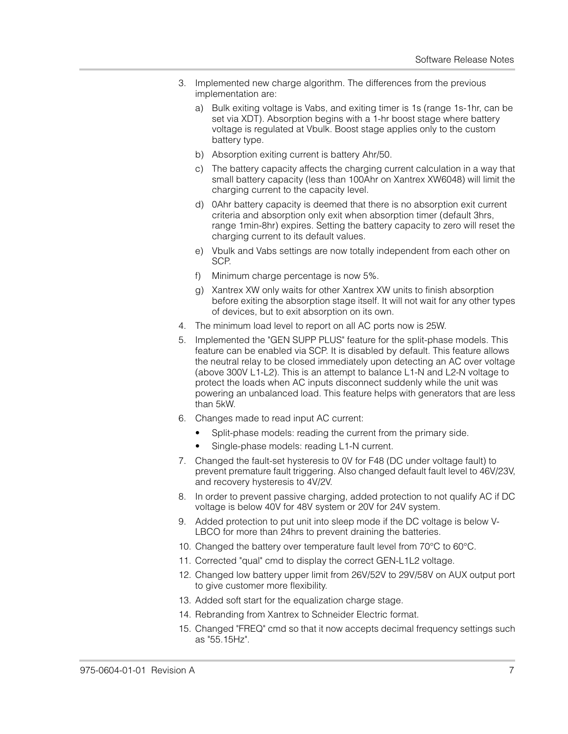- 3. Implemented new charge algorithm. The differences from the previous implementation are:
	- a) Bulk exiting voltage is Vabs, and exiting timer is 1s (range 1s-1hr, can be set via XDT). Absorption begins with a 1-hr boost stage where battery voltage is regulated at Vbulk. Boost stage applies only to the custom battery type.
	- b) Absorption exiting current is battery Ahr/50.
	- c) The battery capacity affects the charging current calculation in a way that small battery capacity (less than 100Ahr on Xantrex XW6048) will limit the charging current to the capacity level.
	- d) 0Ahr battery capacity is deemed that there is no absorption exit current criteria and absorption only exit when absorption timer (default 3hrs, range 1min-8hr) expires. Setting the battery capacity to zero will reset the charging current to its default values.
	- e) Vbulk and Vabs settings are now totally independent from each other on SCP.
	- f) Minimum charge percentage is now 5%.
	- g) Xantrex XW only waits for other Xantrex XW units to finish absorption before exiting the absorption stage itself. It will not wait for any other types of devices, but to exit absorption on its own.
- 4. The minimum load level to report on all AC ports now is 25W.
- 5. Implemented the "GEN SUPP PLUS" feature for the split-phase models. This feature can be enabled via SCP. It is disabled by default. This feature allows the neutral relay to be closed immediately upon detecting an AC over voltage (above 300V L1-L2). This is an attempt to balance L1-N and L2-N voltage to protect the loads when AC inputs disconnect suddenly while the unit was powering an unbalanced load. This feature helps with generators that are less than 5kW.
- 6. Changes made to read input AC current:
	- Split-phase models: reading the current from the primary side.
	- Single-phase models: reading L1-N current.
- 7. Changed the fault-set hysteresis to 0V for F48 (DC under voltage fault) to prevent premature fault triggering. Also changed default fault level to 46V/23V, and recovery hysteresis to 4V/2V.
- 8. In order to prevent passive charging, added protection to not qualify AC if DC voltage is below 40V for 48V system or 20V for 24V system.
- 9. Added protection to put unit into sleep mode if the DC voltage is below V-LBCO for more than 24hrs to prevent draining the batteries.
- 10. Changed the battery over temperature fault level from 70°C to 60°C.
- 11. Corrected "qual" cmd to display the correct GEN-L1L2 voltage.
- 12. Changed low battery upper limit from 26V/52V to 29V/58V on AUX output port to give customer more flexibility.
- 13. Added soft start for the equalization charge stage.
- 14. Rebranding from Xantrex to Schneider Electric format.
- 15. Changed "FREQ" cmd so that it now accepts decimal frequency settings such as "55.15Hz".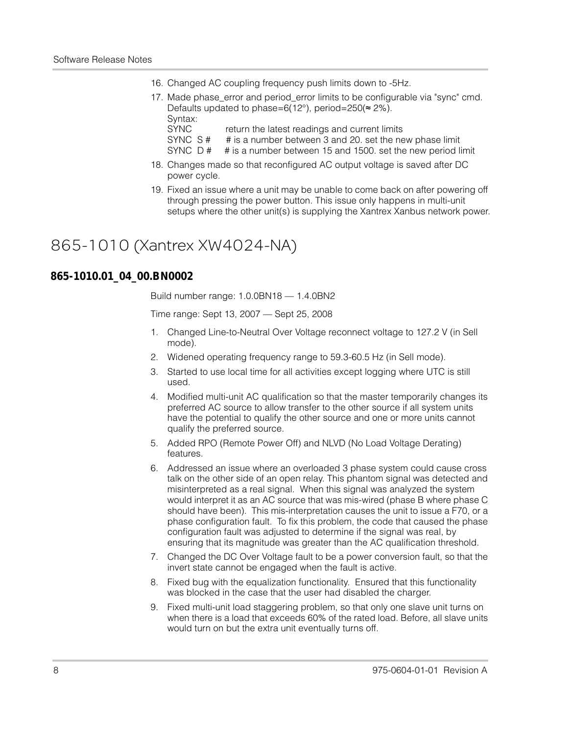- 16. Changed AC coupling frequency push limits down to -5Hz.
- 17. Made phase\_error and period\_error limits to be configurable via "sync" cmd. Defaults updated to phase=6(12°), period=250( $\approx$  2%). Syntax:
	- SYNC return the latest readings and current limits
	- SYNC S # # is a number between 3 and 20. set the new phase limit
	- SYNC D # # is a number between 15 and 1500. set the new period limit
- 18. Changes made so that reconfigured AC output voltage is saved after DC power cycle.
- 19. Fixed an issue where a unit may be unable to come back on after powering off through pressing the power button. This issue only happens in multi-unit setups where the other unit(s) is supplying the Xantrex Xanbus network power.

### 865-1010 (Xantrex XW4024-NA)

#### **865-1010.01\_04\_00.BN0002**

Build number range: 1.0.0BN18 — 1.4.0BN2

Time range: Sept 13, 2007 — Sept 25, 2008

- 1. Changed Line-to-Neutral Over Voltage reconnect voltage to 127.2 V (in Sell mode).
- 2. Widened operating frequency range to 59.3-60.5 Hz (in Sell mode).
- 3. Started to use local time for all activities except logging where UTC is still used.
- 4. Modified multi-unit AC qualification so that the master temporarily changes its preferred AC source to allow transfer to the other source if all system units have the potential to qualify the other source and one or more units cannot qualify the preferred source.
- 5. Added RPO (Remote Power Off) and NLVD (No Load Voltage Derating) features.
- 6. Addressed an issue where an overloaded 3 phase system could cause cross talk on the other side of an open relay. This phantom signal was detected and misinterpreted as a real signal. When this signal was analyzed the system would interpret it as an AC source that was mis-wired (phase B where phase C should have been). This mis-interpretation causes the unit to issue a F70, or a phase configuration fault. To fix this problem, the code that caused the phase configuration fault was adjusted to determine if the signal was real, by ensuring that its magnitude was greater than the AC qualification threshold.
- 7. Changed the DC Over Voltage fault to be a power conversion fault, so that the invert state cannot be engaged when the fault is active.
- 8. Fixed bug with the equalization functionality. Ensured that this functionality was blocked in the case that the user had disabled the charger.
- 9. Fixed multi-unit load staggering problem, so that only one slave unit turns on when there is a load that exceeds 60% of the rated load. Before, all slave units would turn on but the extra unit eventually turns off.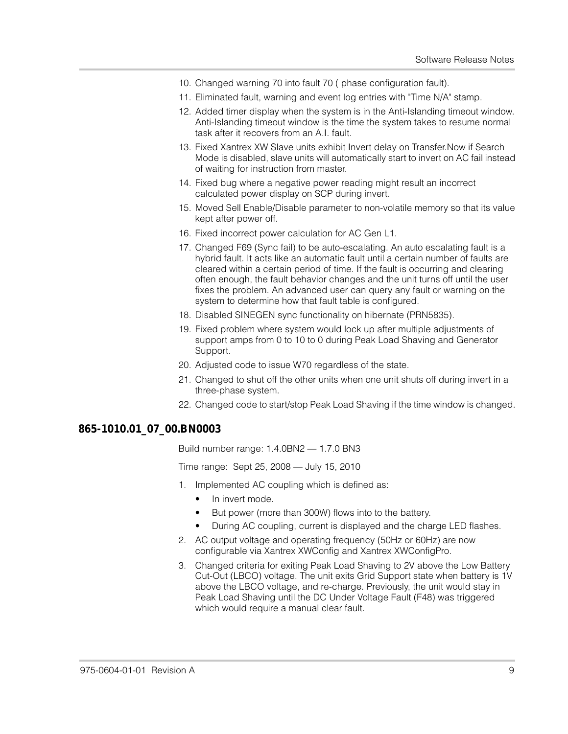- 10. Changed warning 70 into fault 70 ( phase configuration fault).
- 11. Eliminated fault, warning and event log entries with "Time N/A" stamp.
- 12. Added timer display when the system is in the Anti-Islanding timeout window. Anti-Islanding timeout window is the time the system takes to resume normal task after it recovers from an A.I. fault.
- 13. Fixed Xantrex XW Slave units exhibit Invert delay on Transfer.Now if Search Mode is disabled, slave units will automatically start to invert on AC fail instead of waiting for instruction from master.
- 14. Fixed bug where a negative power reading might result an incorrect calculated power display on SCP during invert.
- 15. Moved Sell Enable/Disable parameter to non-volatile memory so that its value kept after power off.
- 16. Fixed incorrect power calculation for AC Gen L1.
- 17. Changed F69 (Sync fail) to be auto-escalating. An auto escalating fault is a hybrid fault. It acts like an automatic fault until a certain number of faults are cleared within a certain period of time. If the fault is occurring and clearing often enough, the fault behavior changes and the unit turns off until the user fixes the problem. An advanced user can query any fault or warning on the system to determine how that fault table is configured.
- 18. Disabled SINEGEN sync functionality on hibernate (PRN5835).
- 19. Fixed problem where system would lock up after multiple adjustments of support amps from 0 to 10 to 0 during Peak Load Shaving and Generator Support.
- 20. Adjusted code to issue W70 regardless of the state.
- 21. Changed to shut off the other units when one unit shuts off during invert in a three-phase system.
- 22. Changed code to start/stop Peak Load Shaving if the time window is changed.

#### **865-1010.01\_07\_00.BN0003**

Build number range: 1.4.0BN2 — 1.7.0 BN3

Time range: Sept 25, 2008 — July 15, 2010

- 1. Implemented AC coupling which is defined as:
	- In invert mode.
	- But power (more than 300W) flows into to the battery.
	- During AC coupling, current is displayed and the charge LED flashes.
- 2. AC output voltage and operating frequency (50Hz or 60Hz) are now configurable via Xantrex XWConfig and Xantrex XWConfigPro.
- 3. Changed criteria for exiting Peak Load Shaving to 2V above the Low Battery Cut-Out (LBCO) voltage. The unit exits Grid Support state when battery is 1V above the LBCO voltage, and re-charge. Previously, the unit would stay in Peak Load Shaving until the DC Under Voltage Fault (F48) was triggered which would require a manual clear fault.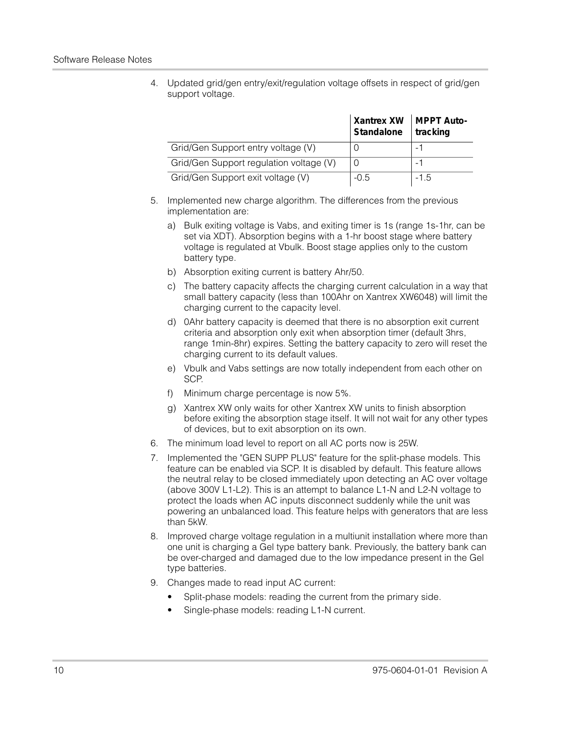4. Updated grid/gen entry/exit/regulation voltage offsets in respect of grid/gen support voltage.

|                                         | Xantrex XW   MPPT Auto-<br>Standalone | tracking |
|-----------------------------------------|---------------------------------------|----------|
| Grid/Gen Support entry voltage (V)      |                                       |          |
| Grid/Gen Support regulation voltage (V) |                                       |          |
| Grid/Gen Support exit voltage (V)       | $-0.5$                                | $-1.5$   |

- 5. Implemented new charge algorithm. The differences from the previous implementation are:
	- a) Bulk exiting voltage is Vabs, and exiting timer is 1s (range 1s-1hr, can be set via XDT). Absorption begins with a 1-hr boost stage where battery voltage is regulated at Vbulk. Boost stage applies only to the custom battery type.
	- b) Absorption exiting current is battery Ahr/50.
	- c) The battery capacity affects the charging current calculation in a way that small battery capacity (less than 100Ahr on Xantrex XW6048) will limit the charging current to the capacity level.
	- d) 0Ahr battery capacity is deemed that there is no absorption exit current criteria and absorption only exit when absorption timer (default 3hrs, range 1min-8hr) expires. Setting the battery capacity to zero will reset the charging current to its default values.
	- e) Vbulk and Vabs settings are now totally independent from each other on SCP.
	- f) Minimum charge percentage is now 5%.
	- g) Xantrex XW only waits for other Xantrex XW units to finish absorption before exiting the absorption stage itself. It will not wait for any other types of devices, but to exit absorption on its own.
- 6. The minimum load level to report on all AC ports now is 25W.
- 7. Implemented the "GEN SUPP PLUS" feature for the split-phase models. This feature can be enabled via SCP. It is disabled by default. This feature allows the neutral relay to be closed immediately upon detecting an AC over voltage (above 300V L1-L2). This is an attempt to balance L1-N and L2-N voltage to protect the loads when AC inputs disconnect suddenly while the unit was powering an unbalanced load. This feature helps with generators that are less than 5kW.
- 8. Improved charge voltage regulation in a multiunit installation where more than one unit is charging a Gel type battery bank. Previously, the battery bank can be over-charged and damaged due to the low impedance present in the Gel type batteries.
- 9. Changes made to read input AC current:
	- Split-phase models: reading the current from the primary side.
	- Single-phase models: reading L1-N current.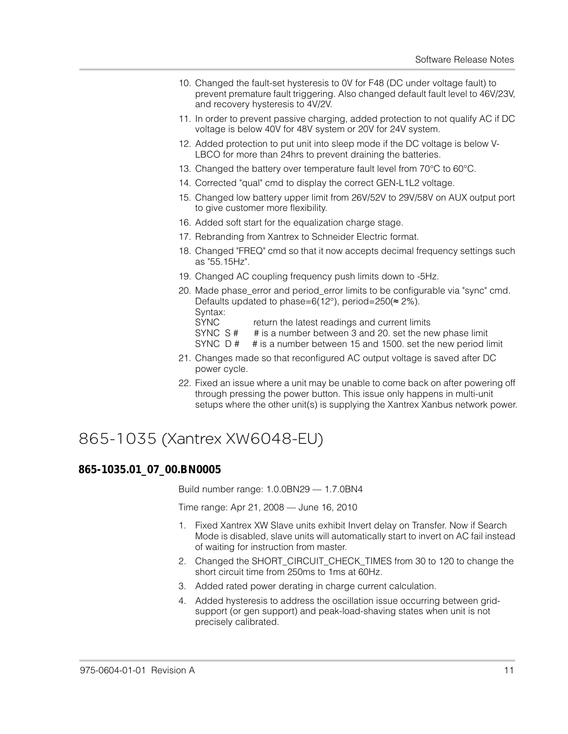- 10. Changed the fault-set hysteresis to 0V for F48 (DC under voltage fault) to prevent premature fault triggering. Also changed default fault level to 46V/23V, and recovery hysteresis to 4V/2V.
- 11. In order to prevent passive charging, added protection to not qualify AC if DC voltage is below 40V for 48V system or 20V for 24V system.
- 12. Added protection to put unit into sleep mode if the DC voltage is below V-LBCO for more than 24hrs to prevent draining the batteries.
- 13. Changed the battery over temperature fault level from 70°C to 60°C.
- 14. Corrected "qual" cmd to display the correct GEN-L1L2 voltage.
- 15. Changed low battery upper limit from 26V/52V to 29V/58V on AUX output port to give customer more flexibility.
- 16. Added soft start for the equalization charge stage.
- 17. Rebranding from Xantrex to Schneider Electric format.
- 18. Changed "FREQ" cmd so that it now accepts decimal frequency settings such as "55.15Hz".
- 19. Changed AC coupling frequency push limits down to -5Hz.
- 20. Made phase\_error and period\_error limits to be configurable via "sync" cmd. Defaults updated to phase=6(12°), period=250(≈ 2%). Syntax:
	-
	- SYNC return the latest readings and current limits
	- SYNC S # # is a number between 3 and 20. set the new phase limit
	- SYNC D # # is a number between 15 and 1500. set the new period limit
- 21. Changes made so that reconfigured AC output voltage is saved after DC power cycle.
- 22. Fixed an issue where a unit may be unable to come back on after powering off through pressing the power button. This issue only happens in multi-unit setups where the other unit(s) is supplying the Xantrex Xanbus network power.

# 865-1035 (Xantrex XW6048-EU)

### **865-1035.01\_07\_00.BN0005**

Build number range: 1.0.0BN29 — 1.7.0BN4

Time range: Apr 21, 2008 — June 16, 2010

- 1. Fixed Xantrex XW Slave units exhibit Invert delay on Transfer. Now if Search Mode is disabled, slave units will automatically start to invert on AC fail instead of waiting for instruction from master.
- 2. Changed the SHORT\_CIRCUIT\_CHECK\_TIMES from 30 to 120 to change the short circuit time from 250ms to 1ms at 60Hz.
- 3. Added rated power derating in charge current calculation.
- 4. Added hysteresis to address the oscillation issue occurring between gridsupport (or gen support) and peak-load-shaving states when unit is not precisely calibrated.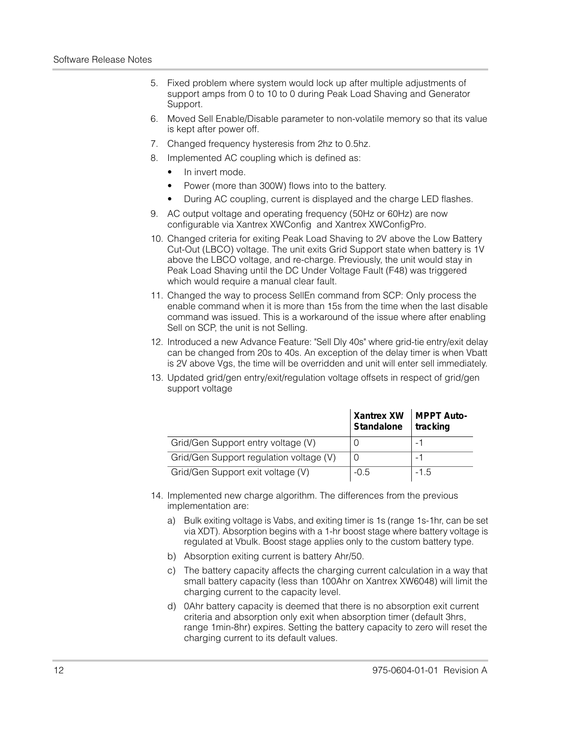- 5. Fixed problem where system would lock up after multiple adjustments of support amps from 0 to 10 to 0 during Peak Load Shaving and Generator Support.
- 6. Moved Sell Enable/Disable parameter to non-volatile memory so that its value is kept after power off.
- 7. Changed frequency hysteresis from 2hz to 0.5hz.
- 8. Implemented AC coupling which is defined as:
	- In invert mode.
	- Power (more than 300W) flows into to the battery.
	- During AC coupling, current is displayed and the charge LED flashes.
- 9. AC output voltage and operating frequency (50Hz or 60Hz) are now configurable via Xantrex XWConfig and Xantrex XWConfigPro.
- 10. Changed criteria for exiting Peak Load Shaving to 2V above the Low Battery Cut-Out (LBCO) voltage. The unit exits Grid Support state when battery is 1V above the LBCO voltage, and re-charge. Previously, the unit would stay in Peak Load Shaving until the DC Under Voltage Fault (F48) was triggered which would require a manual clear fault.
- 11. Changed the way to process SellEn command from SCP: Only process the enable command when it is more than 15s from the time when the last disable command was issued. This is a workaround of the issue where after enabling Sell on SCP, the unit is not Selling.
- 12. Introduced a new Advance Feature: "Sell Dly 40s" where grid-tie entry/exit delay can be changed from 20s to 40s. An exception of the delay timer is when Vbatt is 2V above Vgs, the time will be overridden and unit will enter sell immediately.
- 13. Updated grid/gen entry/exit/regulation voltage offsets in respect of grid/gen support voltage

|                                         | Xantrex XW   MPPT Auto-<br>Standalone | tracking |
|-----------------------------------------|---------------------------------------|----------|
| Grid/Gen Support entry voltage (V)      |                                       |          |
| Grid/Gen Support regulation voltage (V) | O                                     |          |
| Grid/Gen Support exit voltage (V)       | $-0.5$                                | $-1.5$   |

- 14. Implemented new charge algorithm. The differences from the previous implementation are:
	- a) Bulk exiting voltage is Vabs, and exiting timer is 1s (range 1s-1hr, can be set via XDT). Absorption begins with a 1-hr boost stage where battery voltage is regulated at Vbulk. Boost stage applies only to the custom battery type.
	- b) Absorption exiting current is battery Ahr/50.
	- c) The battery capacity affects the charging current calculation in a way that small battery capacity (less than 100Ahr on Xantrex XW6048) will limit the charging current to the capacity level.
	- d) 0Ahr battery capacity is deemed that there is no absorption exit current criteria and absorption only exit when absorption timer (default 3hrs, range 1min-8hr) expires. Setting the battery capacity to zero will reset the charging current to its default values.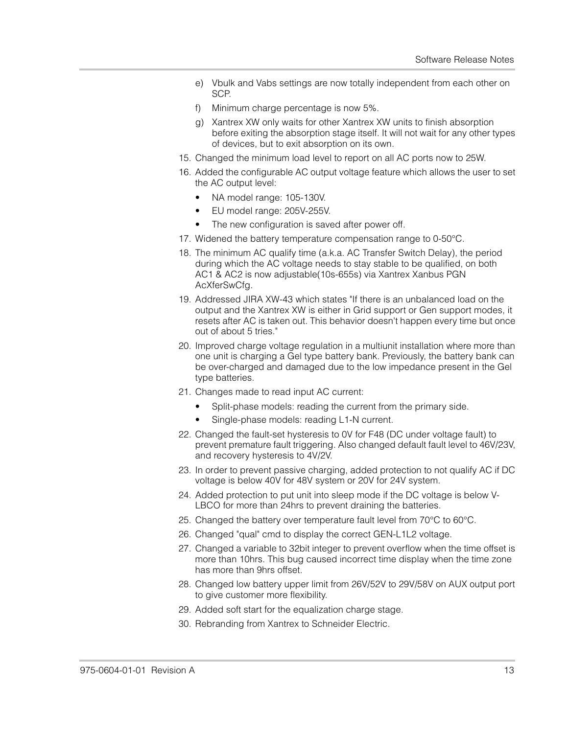- e) Vbulk and Vabs settings are now totally independent from each other on SCP.
- f) Minimum charge percentage is now 5%.
- g) Xantrex XW only waits for other Xantrex XW units to finish absorption before exiting the absorption stage itself. It will not wait for any other types of devices, but to exit absorption on its own.
- 15. Changed the minimum load level to report on all AC ports now to 25W.
- 16. Added the configurable AC output voltage feature which allows the user to set the AC output level:
	- NA model range: 105-130V.
	- EU model range: 205V-255V.
	- The new configuration is saved after power off.
- 17. Widened the battery temperature compensation range to 0-50°C.
- 18. The minimum AC qualify time (a.k.a. AC Transfer Switch Delay), the period during which the AC voltage needs to stay stable to be qualified, on both AC1 & AC2 is now adjustable(10s-655s) via Xantrex Xanbus PGN AcXferSwCfg.
- 19. Addressed JIRA XW-43 which states "If there is an unbalanced load on the output and the Xantrex XW is either in Grid support or Gen support modes, it resets after AC is taken out. This behavior doesn't happen every time but once out of about 5 tries."
- 20. Improved charge voltage regulation in a multiunit installation where more than one unit is charging a Gel type battery bank. Previously, the battery bank can be over-charged and damaged due to the low impedance present in the Gel type batteries.
- 21. Changes made to read input AC current:
	- Split-phase models: reading the current from the primary side.
	- Single-phase models: reading L1-N current.
- 22. Changed the fault-set hysteresis to 0V for F48 (DC under voltage fault) to prevent premature fault triggering. Also changed default fault level to 46V/23V, and recovery hysteresis to 4V/2V.
- 23. In order to prevent passive charging, added protection to not qualify AC if DC voltage is below 40V for 48V system or 20V for 24V system.
- 24. Added protection to put unit into sleep mode if the DC voltage is below V-LBCO for more than 24hrs to prevent draining the batteries.
- 25. Changed the battery over temperature fault level from 70°C to 60°C.
- 26. Changed "qual" cmd to display the correct GEN-L1L2 voltage.
- 27. Changed a variable to 32bit integer to prevent overflow when the time offset is more than 10hrs. This bug caused incorrect time display when the time zone has more than 9hrs offset.
- 28. Changed low battery upper limit from 26V/52V to 29V/58V on AUX output port to give customer more flexibility.
- 29. Added soft start for the equalization charge stage.
- 30. Rebranding from Xantrex to Schneider Electric.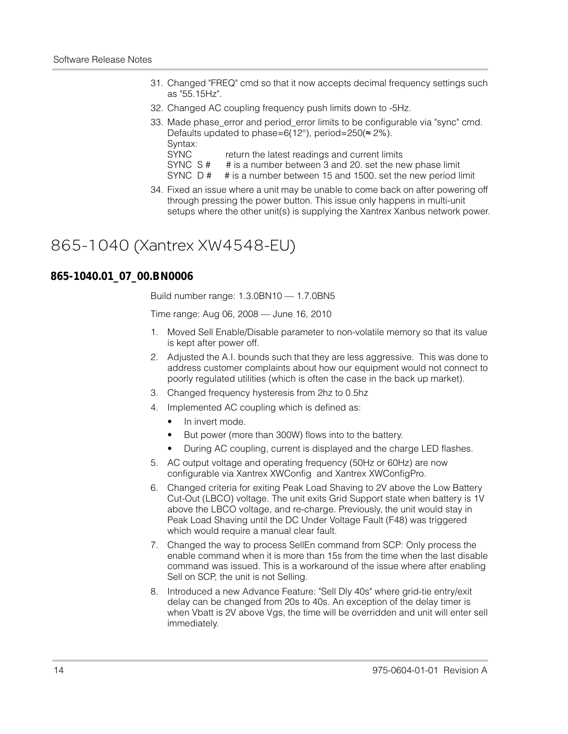- 31. Changed "FREQ" cmd so that it now accepts decimal frequency settings such as "55.15Hz".
- 32. Changed AC coupling frequency push limits down to -5Hz.
- 33. Made phase\_error and period\_error limits to be configurable via "sync" cmd. Defaults updated to phase=6(12°), period=250( $\approx$  2%). Syntax:

SYNC return the latest readings and current limits

SYNC S # # is a number between 3 and 20. set the new phase limit SYNC D # # is a number between 15 and 1500, set the new period limit

- # is a number between 15 and 1500. set the new period limit
- 34. Fixed an issue where a unit may be unable to come back on after powering off through pressing the power button. This issue only happens in multi-unit setups where the other unit(s) is supplying the Xantrex Xanbus network power.

### 865-1040 (Xantrex XW4548-EU)

### **865-1040.01\_07\_00.BN0006**

Build number range: 1.3.0BN10 — 1.7.0BN5

Time range: Aug 06, 2008 — June 16, 2010

- 1. Moved Sell Enable/Disable parameter to non-volatile memory so that its value is kept after power off.
- 2. Adjusted the A.I. bounds such that they are less aggressive. This was done to address customer complaints about how our equipment would not connect to poorly regulated utilities (which is often the case in the back up market).
- 3. Changed frequency hysteresis from 2hz to 0.5hz
- 4. Implemented AC coupling which is defined as:
	- In invert mode.
	- But power (more than 300W) flows into to the battery.
	- During AC coupling, current is displayed and the charge LED flashes.
- 5. AC output voltage and operating frequency (50Hz or 60Hz) are now configurable via Xantrex XWConfig and Xantrex XWConfigPro.
- 6. Changed criteria for exiting Peak Load Shaving to 2V above the Low Battery Cut-Out (LBCO) voltage. The unit exits Grid Support state when battery is 1V above the LBCO voltage, and re-charge. Previously, the unit would stay in Peak Load Shaving until the DC Under Voltage Fault (F48) was triggered which would require a manual clear fault.
- 7. Changed the way to process SellEn command from SCP: Only process the enable command when it is more than 15s from the time when the last disable command was issued. This is a workaround of the issue where after enabling Sell on SCP, the unit is not Selling.
- 8. Introduced a new Advance Feature: "Sell Dly 40s" where grid-tie entry/exit delay can be changed from 20s to 40s. An exception of the delay timer is when Vbatt is 2V above Vgs, the time will be overridden and unit will enter sell immediately.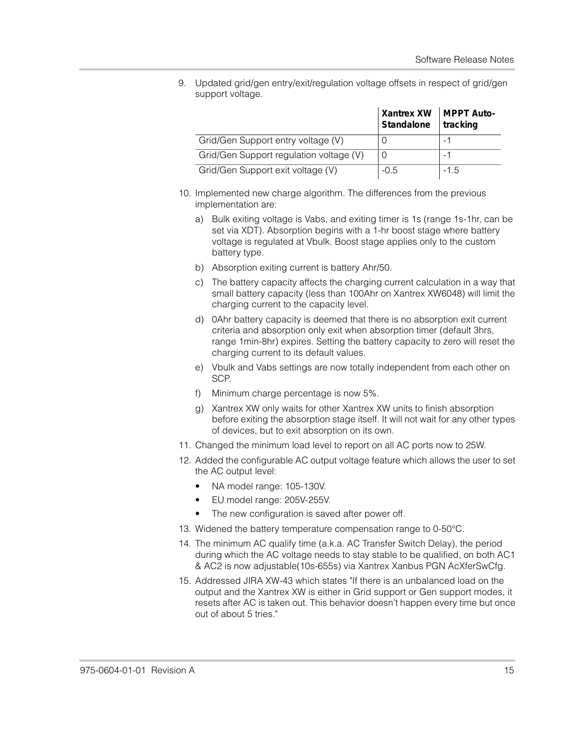9. Updated grid/gen entry/exit/regulation voltage offsets in respect of grid/gen support voltage.

|                                         | Xantrex XW   MPPT Auto-<br>Standalone | tracking |
|-----------------------------------------|---------------------------------------|----------|
| Grid/Gen Support entry voltage (V)      |                                       |          |
| Grid/Gen Support regulation voltage (V) |                                       |          |
| Grid/Gen Support exit voltage (V)       | $-0.5$                                | $-1.5$   |

- 10. Implemented new charge algorithm. The differences from the previous implementation are:
	- a) Bulk exiting voltage is Vabs, and exiting timer is 1s (range 1s-1hr, can be set via XDT). Absorption begins with a 1-hr boost stage where battery voltage is regulated at Vbulk. Boost stage applies only to the custom battery type.
	- b) Absorption exiting current is battery Ahr/50.
	- c) The battery capacity affects the charging current calculation in a way that small battery capacity (less than 100Ahr on Xantrex XW6048) will limit the charging current to the capacity level.
	- d) 0Ahr battery capacity is deemed that there is no absorption exit current criteria and absorption only exit when absorption timer (default 3hrs, range 1min-8hr) expires. Setting the battery capacity to zero will reset the charging current to its default values.
	- e) Vbulk and Vabs settings are now totally independent from each other on SCP.
	- f) Minimum charge percentage is now 5%.
	- g) Xantrex XW only waits for other Xantrex XW units to finish absorption before exiting the absorption stage itself. It will not wait for any other types of devices, but to exit absorption on its own.
- 11. Changed the minimum load level to report on all AC ports now to 25W.
- 12. Added the configurable AC output voltage feature which allows the user to set the AC output level:
	- NA model range: 105-130V.
	- EU model range: 205V-255V.
	- The new configuration is saved after power off.
- 13. Widened the battery temperature compensation range to 0-50°C.
- 14. The minimum AC qualify time (a.k.a. AC Transfer Switch Delay), the period during which the AC voltage needs to stay stable to be qualified, on both AC1 & AC2 is now adjustable(10s-655s) via Xantrex Xanbus PGN AcXferSwCfg.
- 15. Addressed JIRA XW-43 which states "If there is an unbalanced load on the output and the Xantrex XW is either in Grid support or Gen support modes, it resets after AC is taken out. This behavior doesn't happen every time but once out of about 5 tries."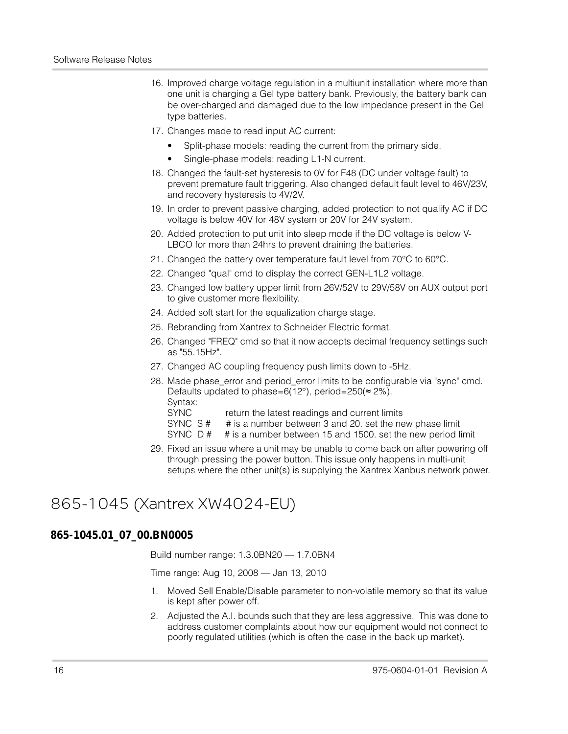- 16. Improved charge voltage regulation in a multiunit installation where more than one unit is charging a Gel type battery bank. Previously, the battery bank can be over-charged and damaged due to the low impedance present in the Gel type batteries.
- 17. Changes made to read input AC current:
	- Split-phase models: reading the current from the primary side.
	- Single-phase models: reading L1-N current.
- 18. Changed the fault-set hysteresis to 0V for F48 (DC under voltage fault) to prevent premature fault triggering. Also changed default fault level to 46V/23V, and recovery hysteresis to 4V/2V.
- 19. In order to prevent passive charging, added protection to not qualify AC if DC voltage is below 40V for 48V system or 20V for 24V system.
- 20. Added protection to put unit into sleep mode if the DC voltage is below V-LBCO for more than 24hrs to prevent draining the batteries.
- 21. Changed the battery over temperature fault level from 70°C to 60°C.
- 22. Changed "qual" cmd to display the correct GEN-L1L2 voltage.
- 23. Changed low battery upper limit from 26V/52V to 29V/58V on AUX output port to give customer more flexibility.
- 24. Added soft start for the equalization charge stage.
- 25. Rebranding from Xantrex to Schneider Electric format.
- 26. Changed "FREQ" cmd so that it now accepts decimal frequency settings such as "55.15Hz".
- 27. Changed AC coupling frequency push limits down to -5Hz.
- 28. Made phase\_error and period\_error limits to be configurable via "sync" cmd. Defaults updated to phase=6(12°), period=250(≈ 2%). Syntax: SYNC return the latest readings and current limits
	- SYNC S# # is a number between 3 and 20. set the new phase limit
	- SYNC D # # is a number between 15 and 1500. set the new period limit
- 29. Fixed an issue where a unit may be unable to come back on after powering off through pressing the power button. This issue only happens in multi-unit setups where the other unit(s) is supplying the Xantrex Xanbus network power.

### 865-1045 (Xantrex XW4024-EU)

### **865-1045.01\_07\_00.BN0005**

Build number range: 1.3.0BN20 — 1.7.0BN4

Time range: Aug 10, 2008 — Jan 13, 2010

- 1. Moved Sell Enable/Disable parameter to non-volatile memory so that its value is kept after power off.
- 2. Adjusted the A.I. bounds such that they are less aggressive. This was done to address customer complaints about how our equipment would not connect to poorly regulated utilities (which is often the case in the back up market).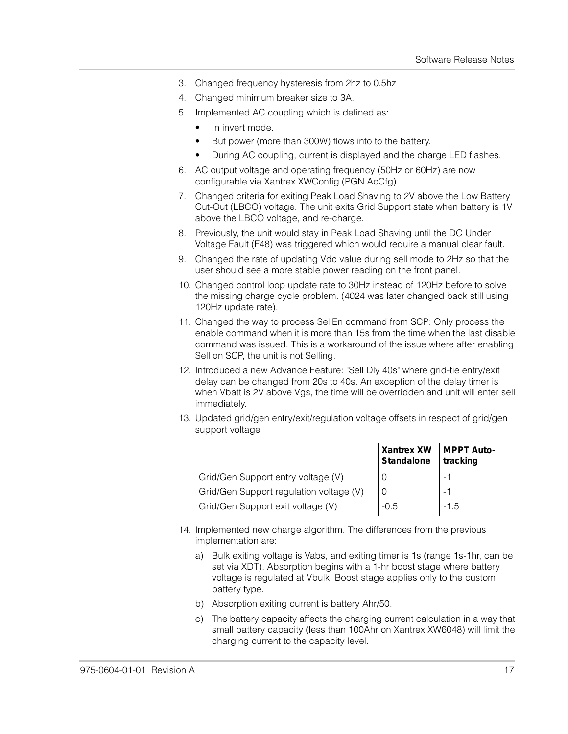- 3. Changed frequency hysteresis from 2hz to 0.5hz
- 4. Changed minimum breaker size to 3A.
- 5. Implemented AC coupling which is defined as:
	- In invert mode.
	- But power (more than 300W) flows into to the battery.
	- During AC coupling, current is displayed and the charge LED flashes.
- 6. AC output voltage and operating frequency (50Hz or 60Hz) are now configurable via Xantrex XWConfig (PGN AcCfg).
- 7. Changed criteria for exiting Peak Load Shaving to 2V above the Low Battery Cut-Out (LBCO) voltage. The unit exits Grid Support state when battery is 1V above the LBCO voltage, and re-charge.
- 8. Previously, the unit would stay in Peak Load Shaving until the DC Under Voltage Fault (F48) was triggered which would require a manual clear fault.
- 9. Changed the rate of updating Vdc value during sell mode to 2Hz so that the user should see a more stable power reading on the front panel.
- 10. Changed control loop update rate to 30Hz instead of 120Hz before to solve the missing charge cycle problem. (4024 was later changed back still using 120Hz update rate).
- 11. Changed the way to process SellEn command from SCP: Only process the enable command when it is more than 15s from the time when the last disable command was issued. This is a workaround of the issue where after enabling Sell on SCP, the unit is not Selling.
- 12. Introduced a new Advance Feature: "Sell Dly 40s" where grid-tie entry/exit delay can be changed from 20s to 40s. An exception of the delay timer is when Vbatt is 2V above Vgs, the time will be overridden and unit will enter sell immediately.
- 13. Updated grid/gen entry/exit/regulation voltage offsets in respect of grid/gen support voltage

|                                         | Xantrex XW   MPPT Auto-<br>Standalone | tracking |
|-----------------------------------------|---------------------------------------|----------|
| Grid/Gen Support entry voltage (V)      |                                       |          |
| Grid/Gen Support regulation voltage (V) |                                       | - 1      |
| Grid/Gen Support exit voltage (V)       | $-0.5$                                | $-1.5$   |

- 14. Implemented new charge algorithm. The differences from the previous implementation are:
	- a) Bulk exiting voltage is Vabs, and exiting timer is 1s (range 1s-1hr, can be set via XDT). Absorption begins with a 1-hr boost stage where battery voltage is regulated at Vbulk. Boost stage applies only to the custom battery type.
	- b) Absorption exiting current is battery Ahr/50.
	- c) The battery capacity affects the charging current calculation in a way that small battery capacity (less than 100Ahr on Xantrex XW6048) will limit the charging current to the capacity level.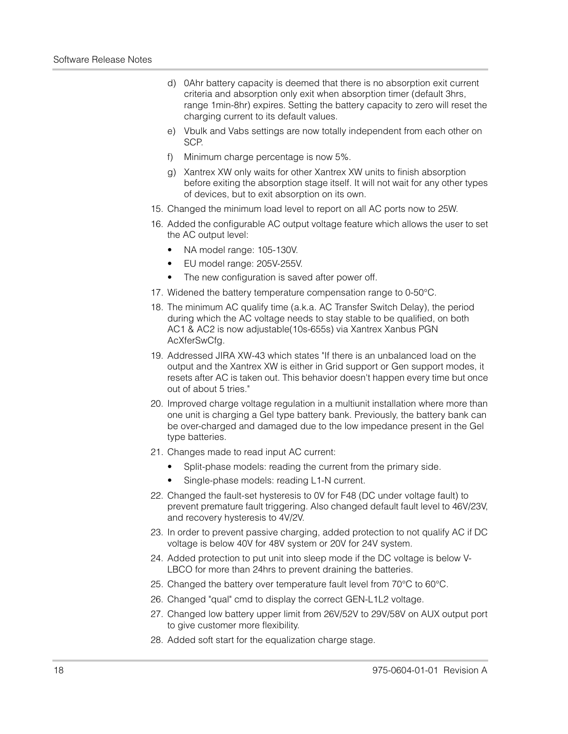- d) 0Ahr battery capacity is deemed that there is no absorption exit current criteria and absorption only exit when absorption timer (default 3hrs, range 1min-8hr) expires. Setting the battery capacity to zero will reset the charging current to its default values.
- e) Vbulk and Vabs settings are now totally independent from each other on SCP.
- f) Minimum charge percentage is now 5%.
- g) Xantrex XW only waits for other Xantrex XW units to finish absorption before exiting the absorption stage itself. It will not wait for any other types of devices, but to exit absorption on its own.
- 15. Changed the minimum load level to report on all AC ports now to 25W.
- 16. Added the configurable AC output voltage feature which allows the user to set the AC output level:
	- NA model range: 105-130V.
	- EU model range: 205V-255V.
	- The new configuration is saved after power off.
- 17. Widened the battery temperature compensation range to 0-50°C.
- 18. The minimum AC qualify time (a.k.a. AC Transfer Switch Delay), the period during which the AC voltage needs to stay stable to be qualified, on both AC1 & AC2 is now adjustable(10s-655s) via Xantrex Xanbus PGN AcXferSwCfg.
- 19. Addressed JIRA XW-43 which states "If there is an unbalanced load on the output and the Xantrex XW is either in Grid support or Gen support modes, it resets after AC is taken out. This behavior doesn't happen every time but once out of about 5 tries."
- 20. Improved charge voltage regulation in a multiunit installation where more than one unit is charging a Gel type battery bank. Previously, the battery bank can be over-charged and damaged due to the low impedance present in the Gel type batteries.
- 21. Changes made to read input AC current:
	- Split-phase models: reading the current from the primary side.
	- Single-phase models: reading L1-N current.
- 22. Changed the fault-set hysteresis to 0V for F48 (DC under voltage fault) to prevent premature fault triggering. Also changed default fault level to 46V/23V, and recovery hysteresis to 4V/2V.
- 23. In order to prevent passive charging, added protection to not qualify AC if DC voltage is below 40V for 48V system or 20V for 24V system.
- 24. Added protection to put unit into sleep mode if the DC voltage is below V-LBCO for more than 24hrs to prevent draining the batteries.
- 25. Changed the battery over temperature fault level from 70°C to 60°C.
- 26. Changed "qual" cmd to display the correct GEN-L1L2 voltage.
- 27. Changed low battery upper limit from 26V/52V to 29V/58V on AUX output port to give customer more flexibility.
- 28. Added soft start for the equalization charge stage.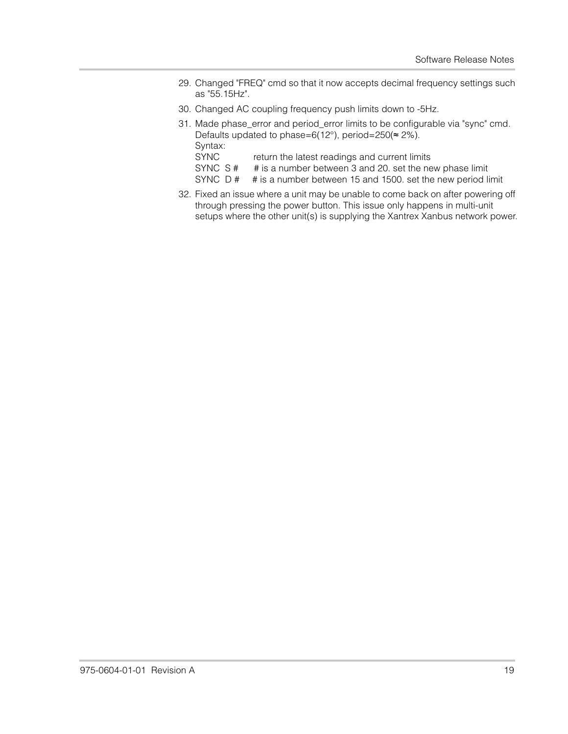- 29. Changed "FREQ" cmd so that it now accepts decimal frequency settings such as "55.15Hz".
- 30. Changed AC coupling frequency push limits down to -5Hz.
- 31. Made phase\_error and period\_error limits to be configurable via "sync" cmd. Defaults updated to phase=6(12°), period=250( $\approx$  2%). Syntax:
	- SYNC return the latest readings and current limits
	- SYNC S # # is a number between 3 and 20. set the new phase limit
	- SYNC D # # is a number between 15 and 1500. set the new period limit
- 32. Fixed an issue where a unit may be unable to come back on after powering off through pressing the power button. This issue only happens in multi-unit setups where the other unit(s) is supplying the Xantrex Xanbus network power.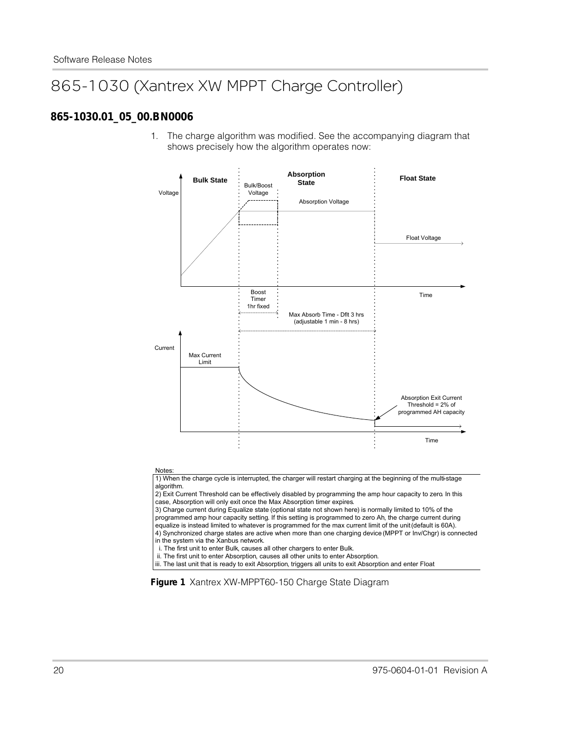## 865-1030 (Xantrex XW MPPT Charge Controller)

#### **865-1030.01\_05\_00.BN0006**

1. The charge algorithm was modified. See the accompanying diagram that shows precisely how the algorithm operates now:



in the system via the Xanbus network.

i. The first unit to enter Bulk, causes all other chargers to enter Bulk.

ii. The first unit to enter Absorption, causes all other units to enter Absorption.

iii. The last unit that is ready to exit Absorption, triggers all units to exit Absorption and enter Float

**Figure 1** Xantrex XW-MPPT60-150 Charge State Diagram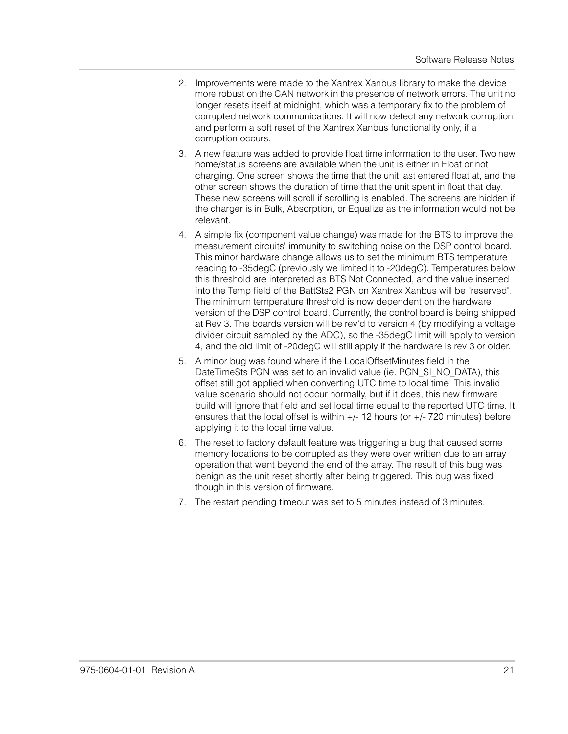- 2. Improvements were made to the Xantrex Xanbus library to make the device more robust on the CAN network in the presence of network errors. The unit no longer resets itself at midnight, which was a temporary fix to the problem of corrupted network communications. It will now detect any network corruption and perform a soft reset of the Xantrex Xanbus functionality only, if a corruption occurs.
- 3. A new feature was added to provide float time information to the user. Two new home/status screens are available when the unit is either in Float or not charging. One screen shows the time that the unit last entered float at, and the other screen shows the duration of time that the unit spent in float that day. These new screens will scroll if scrolling is enabled. The screens are hidden if the charger is in Bulk, Absorption, or Equalize as the information would not be relevant.
- 4. A simple fix (component value change) was made for the BTS to improve the measurement circuits' immunity to switching noise on the DSP control board. This minor hardware change allows us to set the minimum BTS temperature reading to -35degC (previously we limited it to -20degC). Temperatures below this threshold are interpreted as BTS Not Connected, and the value inserted into the Temp field of the BattSts2 PGN on Xantrex Xanbus will be "reserved". The minimum temperature threshold is now dependent on the hardware version of the DSP control board. Currently, the control board is being shipped at Rev 3. The boards version will be rev'd to version 4 (by modifying a voltage divider circuit sampled by the ADC), so the -35degC limit will apply to version 4, and the old limit of -20degC will still apply if the hardware is rev 3 or older.
- 5. A minor bug was found where if the LocalOffsetMinutes field in the DateTimeSts PGN was set to an invalid value (ie. PGN\_SI\_NO\_DATA), this offset still got applied when converting UTC time to local time. This invalid value scenario should not occur normally, but if it does, this new firmware build will ignore that field and set local time equal to the reported UTC time. It ensures that the local offset is within +/- 12 hours (or +/- 720 minutes) before applying it to the local time value.
- 6. The reset to factory default feature was triggering a bug that caused some memory locations to be corrupted as they were over written due to an array operation that went beyond the end of the array. The result of this bug was benign as the unit reset shortly after being triggered. This bug was fixed though in this version of firmware.
- 7. The restart pending timeout was set to 5 minutes instead of 3 minutes.